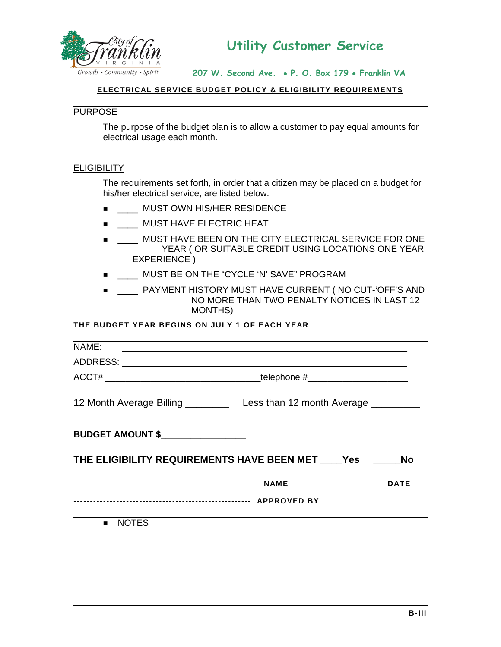

**207 W. Second Ave.** • **P. O. Box 179** • **Franklin VA** 

#### **ELECTRICAL SERVICE BUDGET POLICY & ELIGIBILITY REQUIREMENTS**

## PURPOSE

The purpose of the budget plan is to allow a customer to pay equal amounts for electrical usage each month.

#### **ELIGIBILITY**

The requirements set forth, in order that a citizen may be placed on a budget for his/her electrical service, are listed below.

- $\blacksquare$  MUST OWN HIS/HER RESIDENCE
- $\blacksquare$  MUST HAVE ELECTRIC HEAT
- $\blacksquare$  MUST HAVE BEEN ON THE CITY ELECTRICAL SERVICE FOR ONE YEAR ( OR SUITABLE CREDIT USING LOCATIONS ONE YEAR EXPERIENCE )
- $\blacksquare$  MUST BE ON THE "CYCLE 'N' SAVE" PROGRAM
- \_\_\_\_ PAYMENT HISTORY MUST HAVE CURRENT ( NO CUT-'OFF'S AND NO MORE THAN TWO PENALTY NOTICES IN LAST 12 MONTHS)

### **THE BUDGET YEAR BEGINS ON JULY 1 OF EACH YEAR**

| NAME:                                                                            |  |  |  |
|----------------------------------------------------------------------------------|--|--|--|
|                                                                                  |  |  |  |
| ACCT# __________________________________telephone #_____________________________ |  |  |  |
| 12 Month Average Billing _____________ Less than 12 month Average ____________   |  |  |  |
| BUDGET AMOUNT \$                                                                 |  |  |  |
| THE ELIGIBILITY REQUIREMENTS HAVE BEEN MET Yes No                                |  |  |  |
|                                                                                  |  |  |  |
|                                                                                  |  |  |  |
| <b>NOTES</b><br>$\blacksquare$                                                   |  |  |  |